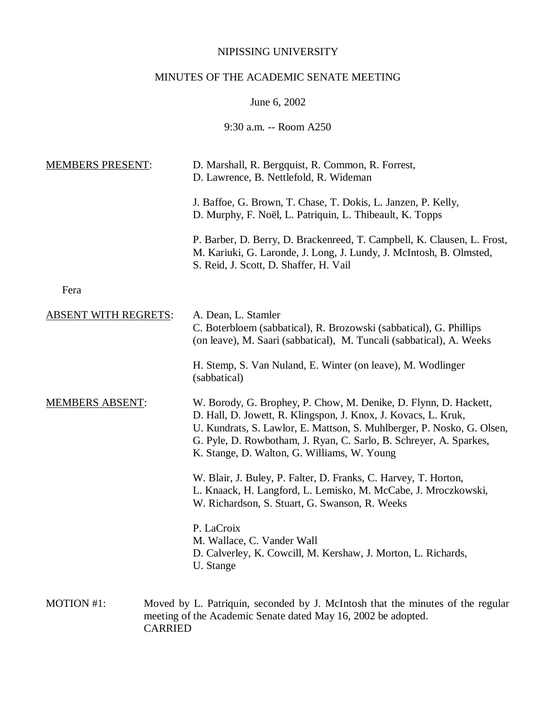## NIPISSING UNIVERSITY

# MINUTES OF THE ACADEMIC SENATE MEETING

June 6, 2002

9:30 a.m. -- Room A250

| <b>MEMBERS PRESENT:</b>     | D. Marshall, R. Bergquist, R. Common, R. Forrest,<br>D. Lawrence, B. Nettlefold, R. Wideman                                                                                                                                                                                                                                       |
|-----------------------------|-----------------------------------------------------------------------------------------------------------------------------------------------------------------------------------------------------------------------------------------------------------------------------------------------------------------------------------|
|                             | J. Baffoe, G. Brown, T. Chase, T. Dokis, L. Janzen, P. Kelly,<br>D. Murphy, F. Noël, L. Patriquin, L. Thibeault, K. Topps                                                                                                                                                                                                         |
|                             | P. Barber, D. Berry, D. Brackenreed, T. Campbell, K. Clausen, L. Frost,<br>M. Kariuki, G. Laronde, J. Long, J. Lundy, J. McIntosh, B. Olmsted,<br>S. Reid, J. Scott, D. Shaffer, H. Vail                                                                                                                                          |
| Fera                        |                                                                                                                                                                                                                                                                                                                                   |
| <b>ABSENT WITH REGRETS:</b> | A. Dean, L. Stamler<br>C. Boterbloem (sabbatical), R. Brozowski (sabbatical), G. Phillips<br>(on leave), M. Saari (sabbatical), M. Tuncali (sabbatical), A. Weeks                                                                                                                                                                 |
|                             | H. Stemp, S. Van Nuland, E. Winter (on leave), M. Wodlinger<br>(sabbatical)                                                                                                                                                                                                                                                       |
| <b>MEMBERS ABSENT:</b>      | W. Borody, G. Brophey, P. Chow, M. Denike, D. Flynn, D. Hackett,<br>D. Hall, D. Jowett, R. Klingspon, J. Knox, J. Kovacs, L. Kruk,<br>U. Kundrats, S. Lawlor, E. Mattson, S. Muhlberger, P. Nosko, G. Olsen,<br>G. Pyle, D. Rowbotham, J. Ryan, C. Sarlo, B. Schreyer, A. Sparkes,<br>K. Stange, D. Walton, G. Williams, W. Young |
|                             | W. Blair, J. Buley, P. Falter, D. Franks, C. Harvey, T. Horton,<br>L. Knaack, H. Langford, L. Lemisko, M. McCabe, J. Mroczkowski,<br>W. Richardson, S. Stuart, G. Swanson, R. Weeks                                                                                                                                               |
|                             | P. LaCroix<br>M. Wallace, C. Vander Wall<br>D. Calverley, K. Cowcill, M. Kershaw, J. Morton, L. Richards,<br>U. Stange                                                                                                                                                                                                            |
| MOTION #1:                  | Moved by L. Patriquin, seconded by J. McIntosh that the minutes of the regular<br>meeting of the Academic Senate dated May 16, 2002 be adopted.<br><b>CARRIED</b>                                                                                                                                                                 |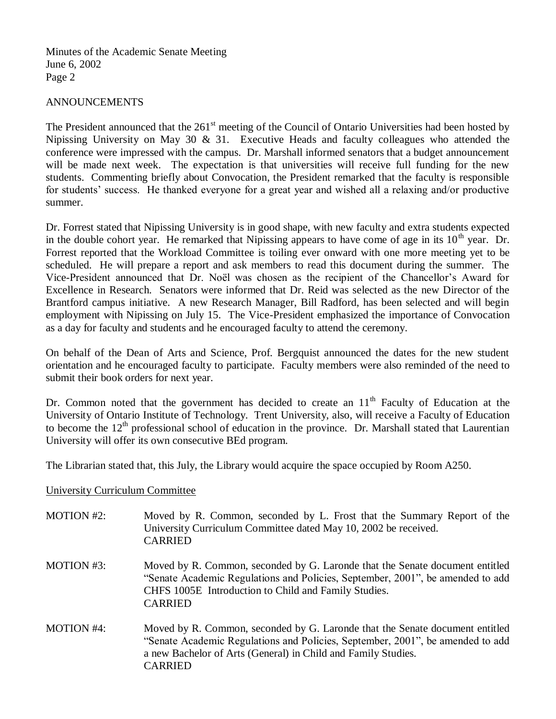## ANNOUNCEMENTS

The President announced that the  $261<sup>st</sup>$  meeting of the Council of Ontario Universities had been hosted by Nipissing University on May 30 & 31. Executive Heads and faculty colleagues who attended the conference were impressed with the campus. Dr. Marshall informed senators that a budget announcement will be made next week. The expectation is that universities will receive full funding for the new students. Commenting briefly about Convocation, the President remarked that the faculty is responsible for students' success. He thanked everyone for a great year and wished all a relaxing and/or productive summer.

Dr. Forrest stated that Nipissing University is in good shape, with new faculty and extra students expected in the double cohort year. He remarked that Nipissing appears to have come of age in its  $10<sup>th</sup>$  year. Dr. Forrest reported that the Workload Committee is toiling ever onward with one more meeting yet to be scheduled. He will prepare a report and ask members to read this document during the summer. The Vice-President announced that Dr. Noël was chosen as the recipient of the Chancellor's Award for Excellence in Research. Senators were informed that Dr. Reid was selected as the new Director of the Brantford campus initiative. A new Research Manager, Bill Radford, has been selected and will begin employment with Nipissing on July 15. The Vice-President emphasized the importance of Convocation as a day for faculty and students and he encouraged faculty to attend the ceremony.

On behalf of the Dean of Arts and Science, Prof. Bergquist announced the dates for the new student orientation and he encouraged faculty to participate. Faculty members were also reminded of the need to submit their book orders for next year.

Dr. Common noted that the government has decided to create an  $11<sup>th</sup>$  Faculty of Education at the University of Ontario Institute of Technology. Trent University, also, will receive a Faculty of Education to become the  $12<sup>th</sup>$  professional school of education in the province. Dr. Marshall stated that Laurentian University will offer its own consecutive BEd program.

The Librarian stated that, this July, the Library would acquire the space occupied by Room A250.

University Curriculum Committee

| <b>MOTION #2:</b> | Moved by R. Common, seconded by L. Frost that the Summary Report of the<br>University Curriculum Committee dated May 10, 2002 be received.<br><b>CARRIED</b>                                                                                      |
|-------------------|---------------------------------------------------------------------------------------------------------------------------------------------------------------------------------------------------------------------------------------------------|
| MOTION #3:        | Moved by R. Common, seconded by G. Laronde that the Senate document entitled<br>"Senate Academic Regulations and Policies, September, 2001", be amended to add<br>CHFS 1005E Introduction to Child and Family Studies.<br><b>CARRIED</b>          |
| <b>MOTION #4:</b> | Moved by R. Common, seconded by G. Laronde that the Senate document entitled<br>"Senate Academic Regulations and Policies, September, 2001", be amended to add<br>a new Bachelor of Arts (General) in Child and Family Studies.<br><b>CARRIED</b> |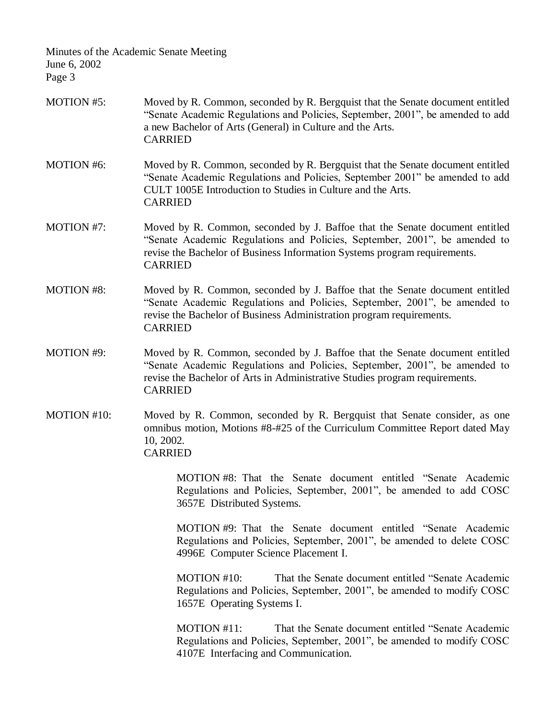- MOTION #5: Moved by R. Common, seconded by R. Bergquist that the Senate document entitled "Senate Academic Regulations and Policies, September, 2001", be amended to add a new Bachelor of Arts (General) in Culture and the Arts. CARRIED
- MOTION #6: Moved by R. Common, seconded by R. Bergquist that the Senate document entitled "Senate Academic Regulations and Policies, September 2001" be amended to add CULT 1005E Introduction to Studies in Culture and the Arts. CARRIED
- MOTION #7: Moved by R. Common, seconded by J. Baffoe that the Senate document entitled "Senate Academic Regulations and Policies, September, 2001", be amended to revise the Bachelor of Business Information Systems program requirements. CARRIED
- MOTION #8: Moved by R. Common, seconded by J. Baffoe that the Senate document entitled "Senate Academic Regulations and Policies, September, 2001", be amended to revise the Bachelor of Business Administration program requirements. CARRIED
- MOTION #9: Moved by R. Common, seconded by J. Baffoe that the Senate document entitled "Senate Academic Regulations and Policies, September, 2001", be amended to revise the Bachelor of Arts in Administrative Studies program requirements. CARRIED
- MOTION #10: Moved by R. Common, seconded by R. Bergquist that Senate consider, as one omnibus motion, Motions #8-#25 of the Curriculum Committee Report dated May 10, 2002. CARRIED

MOTION #8: That the Senate document entitled "Senate Academic Regulations and Policies, September, 2001", be amended to add COSC 3657E Distributed Systems.

MOTION #9: That the Senate document entitled "Senate Academic Regulations and Policies, September, 2001", be amended to delete COSC 4996E Computer Science Placement I.

MOTION #10: That the Senate document entitled "Senate Academic Regulations and Policies, September, 2001", be amended to modify COSC 1657E Operating Systems I.

MOTION #11: That the Senate document entitled "Senate Academic Regulations and Policies, September, 2001", be amended to modify COSC 4107E Interfacing and Communication.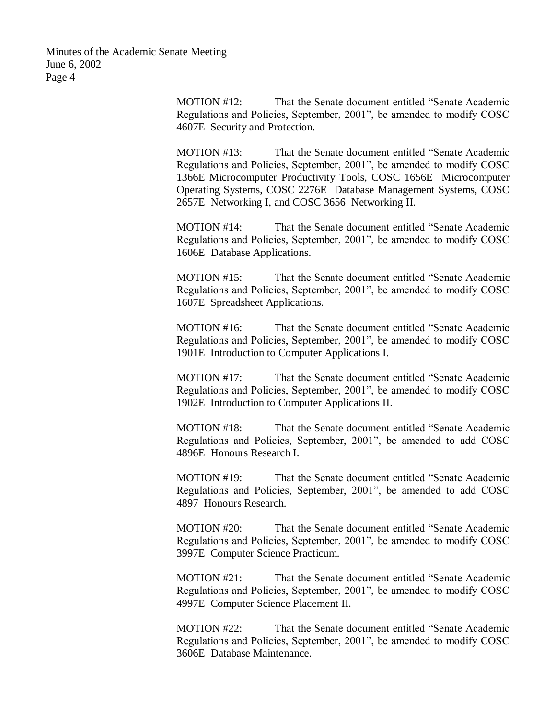> MOTION #12: That the Senate document entitled "Senate Academic Regulations and Policies, September, 2001", be amended to modify COSC 4607E Security and Protection.

> MOTION #13: That the Senate document entitled "Senate Academic Regulations and Policies, September, 2001", be amended to modify COSC 1366E Microcomputer Productivity Tools, COSC 1656E Microcomputer Operating Systems, COSC 2276E Database Management Systems, COSC 2657E Networking I, and COSC 3656 Networking II.

> MOTION #14: That the Senate document entitled "Senate Academic Regulations and Policies, September, 2001", be amended to modify COSC 1606E Database Applications.

> MOTION #15: That the Senate document entitled "Senate Academic Regulations and Policies, September, 2001", be amended to modify COSC 1607E Spreadsheet Applications.

> MOTION #16: That the Senate document entitled "Senate Academic Regulations and Policies, September, 2001", be amended to modify COSC 1901E Introduction to Computer Applications I.

> MOTION #17: That the Senate document entitled "Senate Academic Regulations and Policies, September, 2001", be amended to modify COSC 1902E Introduction to Computer Applications II.

> MOTION #18: That the Senate document entitled "Senate Academic Regulations and Policies, September, 2001", be amended to add COSC 4896E Honours Research I.

> MOTION #19: That the Senate document entitled "Senate Academic Regulations and Policies, September, 2001", be amended to add COSC 4897 Honours Research.

> MOTION #20: That the Senate document entitled "Senate Academic Regulations and Policies, September, 2001", be amended to modify COSC 3997E Computer Science Practicum.

> MOTION #21: That the Senate document entitled "Senate Academic Regulations and Policies, September, 2001", be amended to modify COSC 4997E Computer Science Placement II.

> MOTION #22: That the Senate document entitled "Senate Academic Regulations and Policies, September, 2001", be amended to modify COSC 3606E Database Maintenance.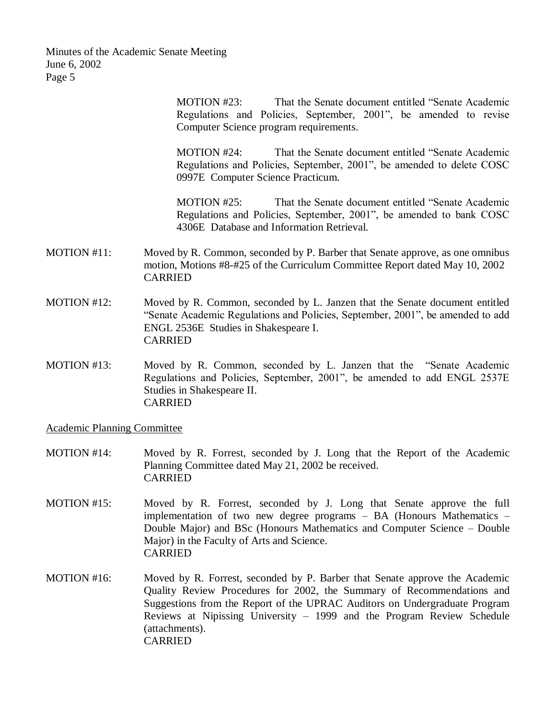> MOTION #23: That the Senate document entitled "Senate Academic Regulations and Policies, September, 2001", be amended to revise Computer Science program requirements.

> MOTION #24: That the Senate document entitled "Senate Academic Regulations and Policies, September, 2001", be amended to delete COSC 0997E Computer Science Practicum.

> MOTION #25: That the Senate document entitled "Senate Academic Regulations and Policies, September, 2001", be amended to bank COSC 4306E Database and Information Retrieval.

- MOTION #11: Moved by R. Common, seconded by P. Barber that Senate approve, as one omnibus motion, Motions #8-#25 of the Curriculum Committee Report dated May 10, 2002 CARRIED
- MOTION #12: Moved by R. Common, seconded by L. Janzen that the Senate document entitled "Senate Academic Regulations and Policies, September, 2001", be amended to add ENGL 2536E Studies in Shakespeare I. CARRIED
- MOTION #13: Moved by R. Common, seconded by L. Janzen that the "Senate Academic Regulations and Policies, September, 2001", be amended to add ENGL 2537E Studies in Shakespeare II. CARRIED

Academic Planning Committee

- MOTION #14: Moved by R. Forrest, seconded by J. Long that the Report of the Academic Planning Committee dated May 21, 2002 be received. CARRIED
- MOTION #15: Moved by R. Forrest, seconded by J. Long that Senate approve the full implementation of two new degree programs – BA (Honours Mathematics – Double Major) and BSc (Honours Mathematics and Computer Science – Double Major) in the Faculty of Arts and Science. CARRIED
- MOTION #16: Moved by R. Forrest, seconded by P. Barber that Senate approve the Academic Quality Review Procedures for 2002, the Summary of Recommendations and Suggestions from the Report of the UPRAC Auditors on Undergraduate Program Reviews at Nipissing University – 1999 and the Program Review Schedule (attachments). CARRIED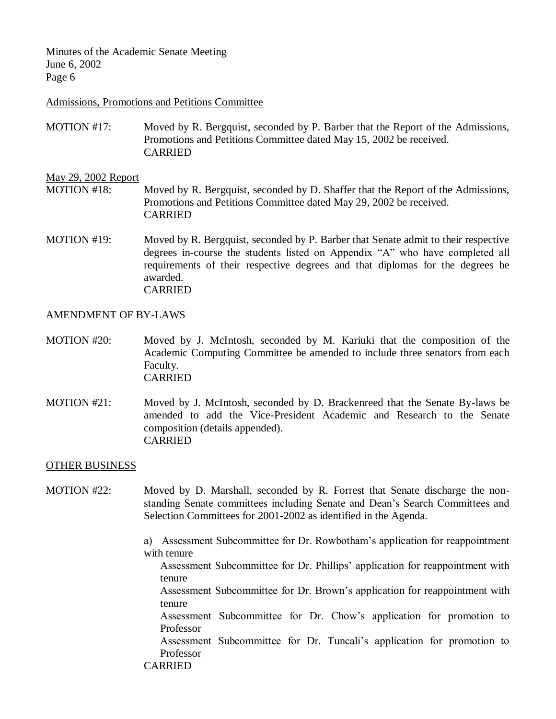#### Admissions, Promotions and Petitions Committee

MOTION #17: Moved by R. Bergquist, seconded by P. Barber that the Report of the Admissions, Promotions and Petitions Committee dated May 15, 2002 be received. CARRIED

#### May 29, 2002 Report

- MOTION #18: Moved by R. Bergquist, seconded by D. Shaffer that the Report of the Admissions, Promotions and Petitions Committee dated May 29, 2002 be received. CARRIED
- MOTION #19: Moved by R. Bergquist, seconded by P. Barber that Senate admit to their respective degrees in-course the students listed on Appendix "A" who have completed all requirements of their respective degrees and that diplomas for the degrees be awarded. CARRIED

### AMENDMENT OF BY-LAWS

- MOTION #20: Moved by J. McIntosh, seconded by M. Kariuki that the composition of the Academic Computing Committee be amended to include three senators from each Faculty. CARRIED
- MOTION #21: Moved by J. McIntosh, seconded by D. Brackenreed that the Senate By-laws be amended to add the Vice-President Academic and Research to the Senate composition (details appended). CARRIED

### OTHER BUSINESS

MOTION #22: Moved by D. Marshall, seconded by R. Forrest that Senate discharge the nonstanding Senate committees including Senate and Dean's Search Committees and Selection Committees for 2001-2002 as identified in the Agenda.

> a) Assessment Subcommittee for Dr. Rowbotham's application for reappointment with tenure

Assessment Subcommittee for Dr. Phillips' application for reappointment with tenure

Assessment Subcommittee for Dr. Brown's application for reappointment with tenure

Assessment Subcommittee for Dr. Chow's application for promotion to Professor

Assessment Subcommittee for Dr. Tuncali's application for promotion to Professor

CARRIED